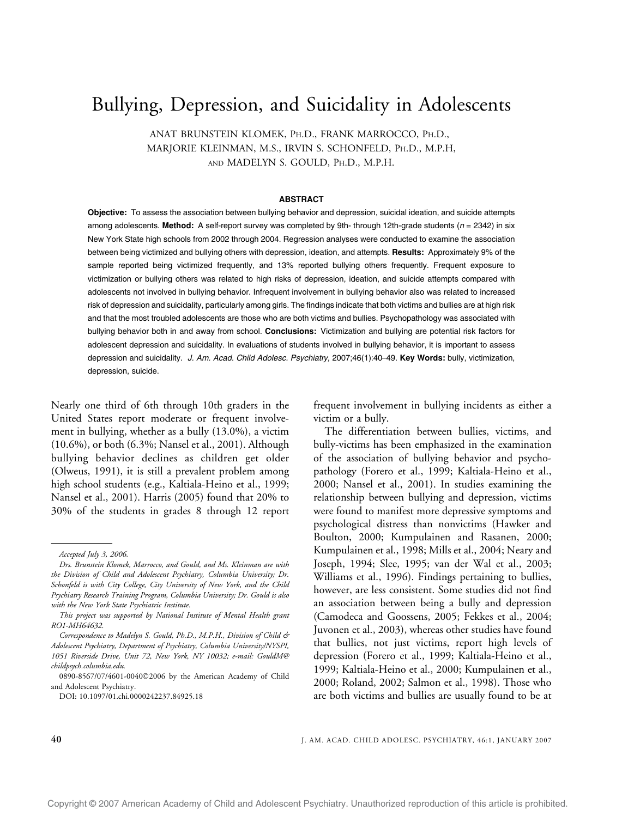# Bullying, Depression, and Suicidality in Adolescents

ANAT BRUNSTEIN KLOMEK, PH.D., FRANK MARROCCO, PH.D., MARJORIE KLEINMAN, M.S., IRVIN S. SCHONFELD, PH.D., M.P.H, AND MADELYN S. GOULD, PH.D., M.P.H.

# ABSTRACT

Objective: To assess the association between bullying behavior and depression, suicidal ideation, and suicide attempts among adolescents. Method: A self-report survey was completed by 9th- through 12th-grade students ( $n = 2342$ ) in six New York State high schools from 2002 through 2004. Regression analyses were conducted to examine the association between being victimized and bullying others with depression, ideation, and attempts. Results: Approximately 9% of the sample reported being victimized frequently, and 13% reported bullying others frequently. Frequent exposure to victimization or bullying others was related to high risks of depression, ideation, and suicide attempts compared with adolescents not involved in bullying behavior. Infrequent involvement in bullying behavior also was related to increased risk of depression and suicidality, particularly among girls. The findings indicate that both victims and bullies are at high risk and that the most troubled adolescents are those who are both victims and bullies. Psychopathology was associated with bullying behavior both in and away from school. Conclusions: Victimization and bullying are potential risk factors for adolescent depression and suicidality. In evaluations of students involved in bullying behavior, it is important to assess depression and suicidality. J. Am. Acad. Child Adolesc. Psychiatry, 2007;46(1):40-49. Key Words: bully, victimization, depression, suicide.

Nearly one third of 6th through 10th graders in the United States report moderate or frequent involvement in bullying, whether as a bully (13.0%), a victim (10.6%), or both (6.3%; Nansel et al., 2001). Although bullying behavior declines as children get older (Olweus, 1991), it is still a prevalent problem among high school students (e.g., Kaltiala-Heino et al., 1999; Nansel et al., 2001). Harris (2005) found that 20% to 30% of the students in grades 8 through 12 report

frequent involvement in bullying incidents as either a victim or a bully.

The differentiation between bullies, victims, and bully-victims has been emphasized in the examination of the association of bullying behavior and psychopathology (Forero et al., 1999; Kaltiala-Heino et al., 2000; Nansel et al., 2001). In studies examining the relationship between bullying and depression, victims were found to manifest more depressive symptoms and psychological distress than nonvictims (Hawker and Boulton, 2000; Kumpulainen and Rasanen, 2000; Kumpulainen et al., 1998; Mills et al., 2004; Neary and Joseph, 1994; Slee, 1995; van der Wal et al., 2003; Williams et al., 1996). Findings pertaining to bullies, however, are less consistent. Some studies did not find an association between being a bully and depression (Camodeca and Goossens, 2005; Fekkes et al., 2004; Juvonen et al., 2003), whereas other studies have found that bullies, not just victims, report high levels of depression (Forero et al., 1999; Kaltiala-Heino et al., 1999; Kaltiala-Heino et al., 2000; Kumpulainen et al., 2000; Roland, 2002; Salmon et al., 1998). Those who are both victims and bullies are usually found to be at

Accepted July 3, 2006.

Drs. Brunstein Klomek, Marrocco, and Gould, and Ms. Kleinman are with the Division of Child and Adolescent Psychiatry, Columbia University; Dr. Schonfeld is with City College, City University of New York, and the Child Psychiatry Research Training Program, Columbia University; Dr. Gould is also with the New York State Psychiatric Institute.

This project was supported by National Institute of Mental Health grant RO1-MH64632.

Correspondence to Madelyn S. Gould, Ph.D., M.P.H., Division of Child & Adolescent Psychiatry, Department of Psychiatry, Columbia University/NYSPI, 1051 Riverside Drive, Unit 72, New York, NY 10032; e-mail: GouldM@ childpsych.columbia.edu.

<sup>0890-8567/07/4601-0040</sup>2006 by the American Academy of Child and Adolescent Psychiatry.

DOI: 10.1097/01.chi.0000242237.84925.18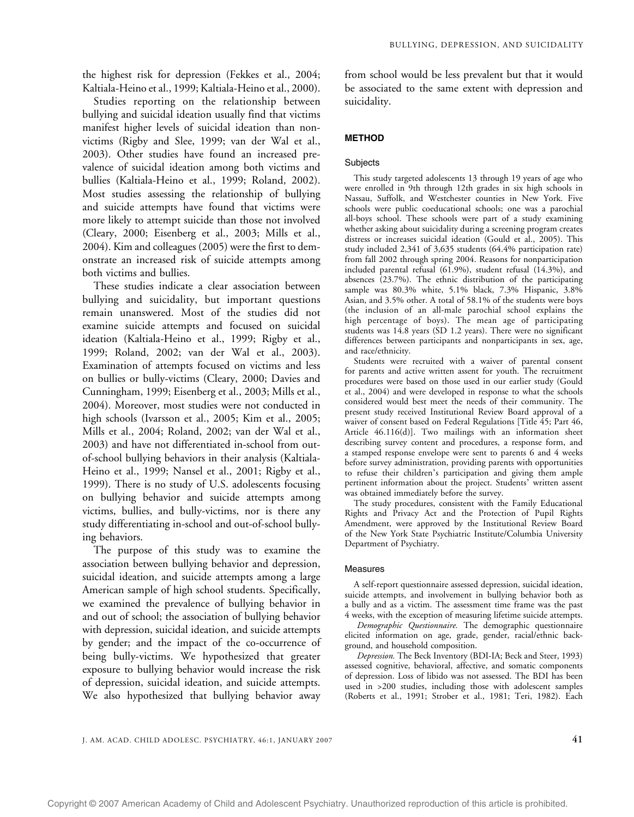the highest risk for depression (Fekkes et al., 2004; Kaltiala-Heino et al., 1999; Kaltiala-Heino et al., 2000).

Studies reporting on the relationship between bullying and suicidal ideation usually find that victims manifest higher levels of suicidal ideation than nonvictims (Rigby and Slee, 1999; van der Wal et al., 2003). Other studies have found an increased prevalence of suicidal ideation among both victims and bullies (Kaltiala-Heino et al., 1999; Roland, 2002). Most studies assessing the relationship of bullying and suicide attempts have found that victims were more likely to attempt suicide than those not involved (Cleary, 2000; Eisenberg et al., 2003; Mills et al., 2004). Kim and colleagues (2005) were the first to demonstrate an increased risk of suicide attempts among both victims and bullies.

These studies indicate a clear association between bullying and suicidality, but important questions remain unanswered. Most of the studies did not examine suicide attempts and focused on suicidal ideation (Kaltiala-Heino et al., 1999; Rigby et al., 1999; Roland, 2002; van der Wal et al., 2003). Examination of attempts focused on victims and less on bullies or bully-victims (Cleary, 2000; Davies and Cunningham, 1999; Eisenberg et al., 2003; Mills et al., 2004). Moreover, most studies were not conducted in high schools (Ivarsson et al., 2005; Kim et al., 2005; Mills et al., 2004; Roland, 2002; van der Wal et al., 2003) and have not differentiated in-school from outof-school bullying behaviors in their analysis (Kaltiala-Heino et al., 1999; Nansel et al., 2001; Rigby et al., 1999). There is no study of U.S. adolescents focusing on bullying behavior and suicide attempts among victims, bullies, and bully-victims, nor is there any study differentiating in-school and out-of-school bullying behaviors.

The purpose of this study was to examine the association between bullying behavior and depression, suicidal ideation, and suicide attempts among a large American sample of high school students. Specifically, we examined the prevalence of bullying behavior in and out of school; the association of bullying behavior with depression, suicidal ideation, and suicide attempts by gender; and the impact of the co-occurrence of being bully-victims. We hypothesized that greater exposure to bullying behavior would increase the risk of depression, suicidal ideation, and suicide attempts. We also hypothesized that bullying behavior away

from school would be less prevalent but that it would be associated to the same extent with depression and suicidality.

## METHOD

#### **Subjects**

This study targeted adolescents 13 through 19 years of age who were enrolled in 9th through 12th grades in six high schools in Nassau, Suffolk, and Westchester counties in New York. Five schools were public coeducational schools; one was a parochial all-boys school. These schools were part of a study examining whether asking about suicidality during a screening program creates distress or increases suicidal ideation (Gould et al., 2005). This study included 2,341 of 3,635 students (64.4% participation rate) from fall 2002 through spring 2004. Reasons for nonparticipation included parental refusal (61.9%), student refusal (14.3%), and absences (23.7%). The ethnic distribution of the participating sample was 80.3% white, 5.1% black, 7.3% Hispanic, 3.8% Asian, and 3.5% other. A total of 58.1% of the students were boys (the inclusion of an all-male parochial school explains the high percentage of boys). The mean age of participating students was 14.8 years (SD 1.2 years). There were no significant differences between participants and nonparticipants in sex, age, and race/ethnicity.

Students were recruited with a waiver of parental consent for parents and active written assent for youth. The recruitment procedures were based on those used in our earlier study (Gould et al., 2004) and were developed in response to what the schools considered would best meet the needs of their community. The present study received Institutional Review Board approval of a waiver of consent based on Federal Regulations [Title 45; Part 46, Article 46.116(d)]. Two mailings with an information sheet describing survey content and procedures, a response form, and a stamped response envelope were sent to parents 6 and 4 weeks before survey administration, providing parents with opportunities to refuse their children`s participation and giving them ample pertinent information about the project. Students` written assent was obtained immediately before the survey.

The study procedures, consistent with the Family Educational Rights and Privacy Act and the Protection of Pupil Rights Amendment, were approved by the Institutional Review Board of the New York State Psychiatric Institute/Columbia University Department of Psychiatry.

## Measures

A self-report questionnaire assessed depression, suicidal ideation, suicide attempts, and involvement in bullying behavior both as a bully and as a victim. The assessment time frame was the past 4 weeks, with the exception of measuring lifetime suicide attempts.

Demographic Questionnaire. The demographic questionnaire elicited information on age, grade, gender, racial/ethnic background, and household composition.

Depression. The Beck Inventory (BDI-IA; Beck and Steer, 1993) assessed cognitive, behavioral, affective, and somatic components of depression. Loss of libido was not assessed. The BDI has been used in >200 studies, including those with adolescent samples (Roberts et al., 1991; Strober et al., 1981; Teri, 1982). Each

J. AM. ACAD. CHILD ADOLESC. PSYCHIATRY,  $46:1$ , JANUARY 2007  $41$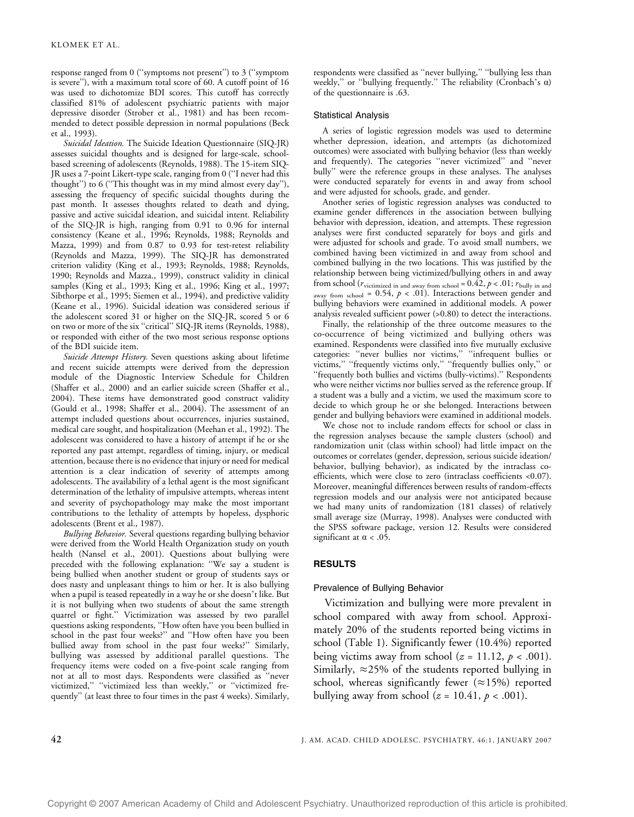response ranged from 0 (''symptoms not present'') to 3 (''symptom is severe''), with a maximum total score of 60. A cutoff point of 16 was used to dichotomize BDI scores. This cutoff has correctly classified 81% of adolescent psychiatric patients with major depressive disorder (Strober et al., 1981) and has been recommended to detect possible depression in normal populations (Beck et al., 1993).

Suicidal Ideation. The Suicide Ideation Questionnaire (SIQ-JR) assesses suicidal thoughts and is designed for large-scale, schoolbased screening of adolescents (Reynolds, 1988). The 15-item SIQ-JR uses a 7-point Likert-type scale, ranging from 0 (''I never had this thought'') to 6 (''This thought was in my mind almost every day''), assessing the frequency of specific suicidal thoughts during the past month. It assesses thoughts related to death and dying, passive and active suicidal ideation, and suicidal intent. Reliability of the SIQ-JR is high, ranging from 0.91 to 0.96 for internal consistency (Keane et al., 1996; Reynolds, 1988; Reynolds and Mazza, 1999) and from 0.87 to 0.93 for test-retest reliability (Reynolds and Mazza, 1999). The SIQ-JR has demonstrated criterion validity (King et al., 1993; Reynolds, 1988; Reynolds, 1990; Reynolds and Mazza., 1999), construct validity in clinical samples (King et al., 1993; King et al., 1996; King et al., 1997; Sibthorpe et al., 1995; Siemen et al., 1994), and predictive validity (Keane et al., 1996). Suicidal ideation was considered serious if the adolescent scored 31 or higher on the SIQ-JR, scored 5 or 6 on two or more of the six ''critical'' SIQ-JR items (Reynolds, 1988), or responded with either of the two most serious response options of the BDI suicide item.

Suicide Attempt History. Seven questions asking about lifetime and recent suicide attempts were derived from the depression module of the Diagnostic Interview Schedule for Children (Shaffer et al., 2000) and an earlier suicide screen (Shaffer et al., 2004). These items have demonstrated good construct validity (Gould et al., 1998; Shaffer et al., 2004). The assessment of an attempt included questions about occurrences, injuries sustained, medical care sought, and hospitalization (Meehan et al., 1992). The adolescent was considered to have a history of attempt if he or she reported any past attempt, regardless of timing, injury, or medical attention, because there is no evidence that injury or need for medical attention is a clear indication of severity of attempts among adolescents. The availability of a lethal agent is the most significant determination of the lethality of impulsive attempts, whereas intent and severity of psychopathology may make the most important contributions to the lethality of attempts by hopeless, dysphoric adolescents (Brent et al., 1987).

Bullying Behavior. Several questions regarding bullying behavior were derived from the World Health Organization study on youth health (Nansel et al., 2001). Questions about bullying were preceded with the following explanation: ''We say a student is being bullied when another student or group of students says or does nasty and unpleasant things to him or her. It is also bullying when a pupil is teased repeatedly in a way he or she doesn`t like. But it is not bullying when two students of about the same strength quarrel or fight.'' Victimization was assessed by two parallel questions asking respondents, ''How often have you been bullied in school in the past four weeks?'' and ''How often have you been bullied away from school in the past four weeks?'' Similarly, bullying was assessed by additional parallel questions. The frequency items were coded on a five-point scale ranging from not at all to most days. Respondents were classified as ''never victimized," "victimized less than weekly," or "victimized frequently'' (at least three to four times in the past 4 weeks). Similarly,

respondents were classified as ''never bullying,'' ''bullying less than weekly," or "bullying frequently." The reliability (Cronbach's  $\alpha$ ) of the questionnaire is .63.

## Statistical Analysis

A series of logistic regression models was used to determine whether depression, ideation, and attempts (as dichotomized outcomes) were associated with bullying behavior (less than weekly and frequently). The categories ''never victimized'' and ''never bully'' were the reference groups in these analyses. The analyses were conducted separately for events in and away from school and were adjusted for schools, grade, and gender.

Another series of logistic regression analyses was conducted to examine gender differences in the association between bullying behavior with depression, ideation, and attempts. These regression analyses were first conducted separately for boys and girls and were adjusted for schools and grade. To avoid small numbers, we combined having been victimized in and away from school and combined bullying in the two locations. This was justified by the relationship between being victimized/bullying others in and away from school ( $r$ victimized in and away from school =  $0.42, p < .01$ ;  $r_{\text{bully in and}}$ away from school = 0.54,  $p < .01$ ). Interactions between gender and bullying behaviors were examined in additional models. A power analysis revealed sufficient power (>0.80) to detect the interactions.

Finally, the relationship of the three outcome measures to the co-occurrence of being victimized and bullying others was examined. Respondents were classified into five mutually exclusive categories: ''never bullies nor victims,'' ''infrequent bullies or victims,'' ''frequently victims only,'' ''frequently bullies only,'' or ''frequently both bullies and victims (bully-victims).'' Respondents who were neither victims nor bullies served as the reference group. If a student was a bully and a victim, we used the maximum score to decide to which group he or she belonged. Interactions between gender and bullying behaviors were examined in additional models.

We chose not to include random effects for school or class in the regression analyses because the sample clusters (school) and randomization unit (class within school) had little impact on the outcomes or correlates (gender, depression, serious suicide ideation/ behavior, bullying behavior), as indicated by the intraclass coefficients, which were close to zero (intraclass coefficients <0.07). Moreover, meaningful differences between results of random-effects regression models and our analysis were not anticipated because we had many units of randomization (181 classes) of relatively small average size (Murray, 1998). Analyses were conducted with the SPSS software package, version 12. Results were considered significant at  $\alpha$  < .05.

# RESULTS

# Prevalence of Bullying Behavior

Victimization and bullying were more prevalent in school compared with away from school. Approximately 20% of the students reported being victims in school (Table 1). Significantly fewer (10.4%) reported being victims away from school ( $z = 11.12$ ,  $p < .001$ ). Similarly,  $\approx$  25% of the students reported bullying in school, whereas significantly fewer  $(\approx 15\%)$  reported bullying away from school ( $z = 10.41$ ,  $p < .001$ ).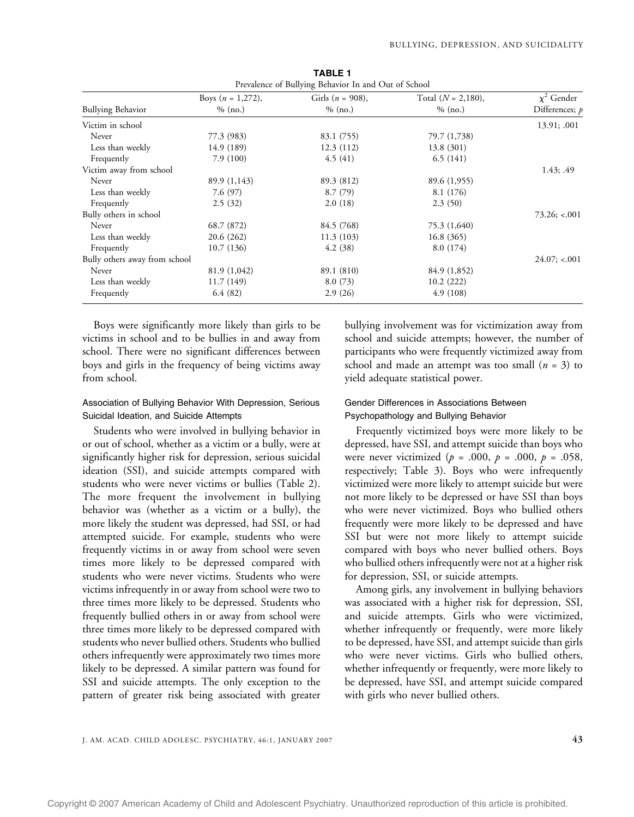|                               | Boys $(n = 1,272)$ , | Girls ( <i>n</i> = 908), | Total $(N = 2,180)$ , | $\chi^2$ Gender  |
|-------------------------------|----------------------|--------------------------|-----------------------|------------------|
| <b>Bullying Behavior</b>      | % (no.)              | % (no.)                  | % (no.)               | Differences; $p$ |
| Victim in school              |                      |                          |                       | 13.91; .001      |
| Never                         | 77.3 (983)           | 83.1 (755)               | 79.7 (1,738)          |                  |
| Less than weekly              | 14.9 (189)           | 12.3(112)                | 13.8 (301)            |                  |
| Frequently                    | 7.9(100)             | 4.5(41)                  | 6.5(141)              |                  |
| Victim away from school       |                      |                          |                       | 1.43; .49        |
| Never                         | 89.9 (1,143)         | 89.3 (812)               | 89.6 (1,955)          |                  |
| Less than weekly              | 7.6 (97)             | 8.7(79)                  | 8.1 (176)             |                  |
| Frequently                    | 2.5(32)              | 2.0(18)                  | 2.3(50)               |                  |
| Bully others in school        |                      |                          |                       | 73.26: < .001    |
| Never                         | 68.7 (872)           | 84.5 (768)               | 75.3 (1,640)          |                  |
| Less than weekly              | 20.6 (262)           | 11.3(103)                | 16.8(365)             |                  |
| Frequently                    | 10.7(136)            | 4.2(38)                  | 8.0 (174)             |                  |
| Bully others away from school |                      |                          |                       | 24.07; < .001    |
| Never                         | 81.9 (1,042)         | 89.1 (810)               | 84.9 (1,852)          |                  |
| Less than weekly              | 11.7 (149)           | 8.0(73)                  | 10.2(222)             |                  |
| Frequently                    | 6.4(82)              | 2.9(26)                  | 4.9(108)              |                  |

TABLE 1

Boys were significantly more likely than girls to be victims in school and to be bullies in and away from school. There were no significant differences between boys and girls in the frequency of being victims away from school.

# Association of Bullying Behavior With Depression, Serious Suicidal Ideation, and Suicide Attempts

Students who were involved in bullying behavior in or out of school, whether as a victim or a bully, were at significantly higher risk for depression, serious suicidal ideation (SSI), and suicide attempts compared with students who were never victims or bullies (Table 2). The more frequent the involvement in bullying behavior was (whether as a victim or a bully), the more likely the student was depressed, had SSI, or had attempted suicide. For example, students who were frequently victims in or away from school were seven times more likely to be depressed compared with students who were never victims. Students who were victims infrequently in or away from school were two to three times more likely to be depressed. Students who frequently bullied others in or away from school were three times more likely to be depressed compared with students who never bullied others. Students who bullied others infrequently were approximately two times more likely to be depressed. A similar pattern was found for SSI and suicide attempts. The only exception to the pattern of greater risk being associated with greater bullying involvement was for victimization away from school and suicide attempts; however, the number of participants who were frequently victimized away from school and made an attempt was too small  $(n = 3)$  to yield adequate statistical power.

# Gender Differences in Associations Between Psychopathology and Bullying Behavior

Frequently victimized boys were more likely to be depressed, have SSI, and attempt suicide than boys who were never victimized ( $p = .000$ ,  $p = .000$ ,  $p = .058$ , respectively; Table 3). Boys who were infrequently victimized were more likely to attempt suicide but were not more likely to be depressed or have SSI than boys who were never victimized. Boys who bullied others frequently were more likely to be depressed and have SSI but were not more likely to attempt suicide compared with boys who never bullied others. Boys who bullied others infrequently were not at a higher risk for depression, SSI, or suicide attempts.

Among girls, any involvement in bullying behaviors was associated with a higher risk for depression, SSI, and suicide attempts. Girls who were victimized, whether infrequently or frequently, were more likely to be depressed, have SSI, and attempt suicide than girls who were never victims. Girls who bullied others, whether infrequently or frequently, were more likely to be depressed, have SSI, and attempt suicide compared with girls who never bullied others.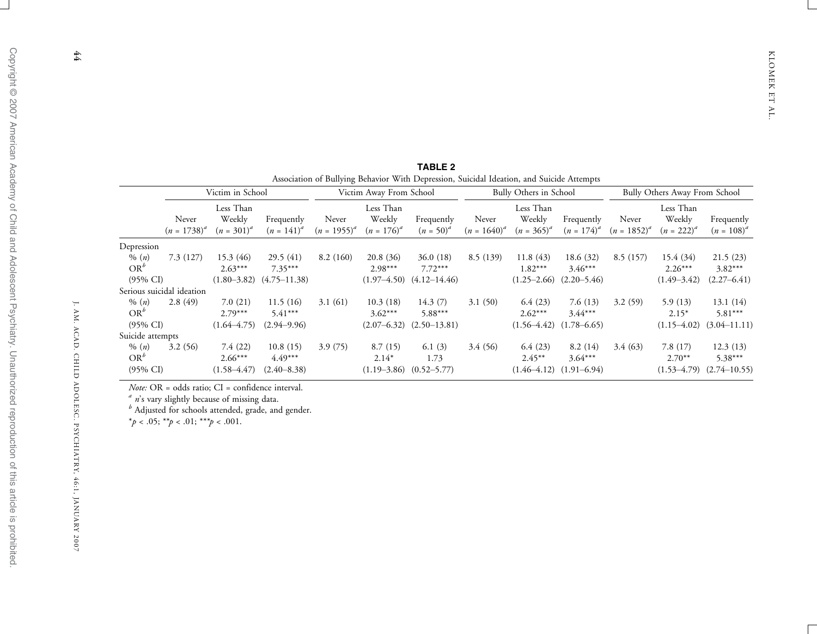$\frac{1}{2}$ 

 $\overline{\phantom{a}}$ 

| Bully Others in School<br>Victim Away From School<br>Bully Others Away From School<br>Less Than<br>Less Than<br>Less Than<br>Less Than<br>Weekly<br>Weekly<br>Weekly<br>Weekly<br>Never<br>Frequently<br>Never<br>Frequently<br>Never<br>Frequently<br>Never<br>$(n = 50)^{a}$<br>$(n = 174)^{a}$<br>$(n = 1738)^{d}$<br>$(n = 301)^{d}$<br>$(n = 141)^{d}$<br>$(n = 1955)^{d}$<br>$(n = 176)^{d}$<br>$(n = 1640)^{d}$<br>$(n = 365)^{d}$<br>$(n = 1852)^{d}$<br>$(n = 222)^{a}$<br>Depression<br>$\%$ $(n)$<br>7.3(127)<br>15.3 (46)<br>29.5(41)<br>8.2(160)<br>20.8(36)<br>36.0(18)<br>8.5 (139)<br>11.8(43)<br>18.6 (32)<br>8.5(157)<br>15.4 (34)<br>$OR^b$<br>$7.72***$<br>$3.46***$<br>$2.63***$<br>$7.35***$<br>$2.98***$<br>$1.82***$<br>$2.26***$<br>$(95\% \text{ CI})$<br>$(2.27 - 6.41)$<br>$(1.80 - 3.82)$<br>$(4.75 - 11.38)$<br>$(1.97 - 4.50)$<br>$(4.12 - 14.46)$<br>$(1.25 - 2.66)$<br>$(2.20 - 5.46)$<br>$(1.49 - 3.42)$<br>Serious suicidal ideation<br>$\%$ $(n)$<br>2.8(49)<br>7.0(21)<br>11.5(16)<br>3.1(61)<br>10.3(18)<br>14.3(7)<br>3.1(50)<br>6.4(23)<br>7.6(13)<br>3.2(59)<br>5.9(13)<br>$OR^b$<br>$2.79***$<br>$5.41***$<br>$3.62***$<br>$2.62***$<br>$3.44***$<br>$5.88***$<br>$2.15*$<br>$(95\% \text{ CI})$<br>$(1.64 - 4.75)$<br>$(2.94 - 9.96)$<br>$(2.07 - 6.32)$<br>$(2.50 - 13.81)$<br>$(1.56 - 4.42)$<br>$(1.78 - 6.65)$<br>$(1.15 - 4.02)$<br>$(3.04 - 11.11)$<br>Suicide attempts |  |  | Victim in School |  |
|--------------------------------------------------------------------------------------------------------------------------------------------------------------------------------------------------------------------------------------------------------------------------------------------------------------------------------------------------------------------------------------------------------------------------------------------------------------------------------------------------------------------------------------------------------------------------------------------------------------------------------------------------------------------------------------------------------------------------------------------------------------------------------------------------------------------------------------------------------------------------------------------------------------------------------------------------------------------------------------------------------------------------------------------------------------------------------------------------------------------------------------------------------------------------------------------------------------------------------------------------------------------------------------------------------------------------------------------------------------------------------------------------------------------------|--|--|------------------|--|
|                                                                                                                                                                                                                                                                                                                                                                                                                                                                                                                                                                                                                                                                                                                                                                                                                                                                                                                                                                                                                                                                                                                                                                                                                                                                                                                                                                                                                          |  |  |                  |  |
|                                                                                                                                                                                                                                                                                                                                                                                                                                                                                                                                                                                                                                                                                                                                                                                                                                                                                                                                                                                                                                                                                                                                                                                                                                                                                                                                                                                                                          |  |  |                  |  |
|                                                                                                                                                                                                                                                                                                                                                                                                                                                                                                                                                                                                                                                                                                                                                                                                                                                                                                                                                                                                                                                                                                                                                                                                                                                                                                                                                                                                                          |  |  |                  |  |
| $\%$ $(n)$<br>7.4(22)<br>8.7(15)<br>6.4(23)<br>3.2(56)<br>10.8(15)<br>3.9(75)<br>6.1(3)<br>3.4(56)<br>8.2(14)<br>3.4(63)<br>7.8(17)<br>$OR^b$<br>$2.66***$<br>$4.49***$<br>$3.64***$<br>$2.14*$<br>$2.45***$<br>$2.70**$<br>1.73<br>$(1.53-4.79)$ $(2.74-10.55)$<br>$(95\% \text{ CI})$<br>$(1.58 - 4.47)$<br>$(2.40 - 8.38)$<br>$(1.19-3.86)$ $(0.52-5.77)$<br>$(1.46-4.12)$ $(1.91-6.94)$                                                                                                                                                                                                                                                                                                                                                                                                                                                                                                                                                                                                                                                                                                                                                                                                                                                                                                                                                                                                                              |  |  |                  |  |

 $\overline{\phantom{0}}$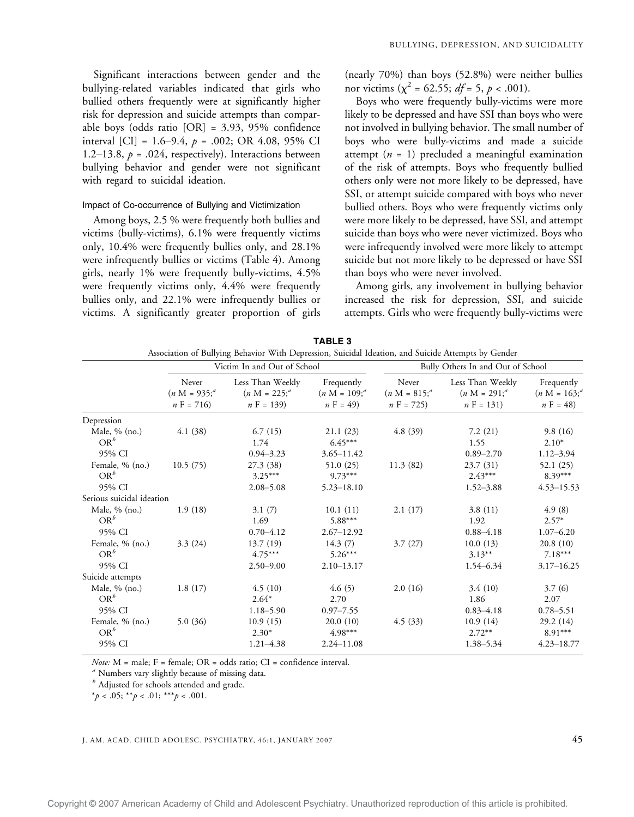Significant interactions between gender and the bullying-related variables indicated that girls who bullied others frequently were at significantly higher risk for depression and suicide attempts than comparable boys (odds ratio [OR] = 3.93, 95% confidence interval [CI] = 1.6-9.4,  $p = .002$ ; OR 4.08, 95% CI 1.2-13.8,  $p = .024$ , respectively). Interactions between bullying behavior and gender were not significant with regard to suicidal ideation.

# Impact of Co-occurrence of Bullying and Victimization

Among boys, 2.5 % were frequently both bullies and victims (bully-victims), 6.1% were frequently victims only, 10.4% were frequently bullies only, and 28.1% were infrequently bullies or victims (Table 4). Among girls, nearly 1% were frequently bully-victims, 4.5% were frequently victims only, 4.4% were frequently bullies only, and 22.1% were infrequently bullies or victims. A significantly greater proportion of girls (nearly 70%) than boys (52.8%) were neither bullies nor victims  $(\chi^2 = 62.55; df = 5, p < .001)$ .

Boys who were frequently bully-victims were more likely to be depressed and have SSI than boys who were not involved in bullying behavior. The small number of boys who were bully-victims and made a suicide attempt  $(n = 1)$  precluded a meaningful examination of the risk of attempts. Boys who frequently bullied others only were not more likely to be depressed, have SSI, or attempt suicide compared with boys who never bullied others. Boys who were frequently victims only were more likely to be depressed, have SSI, and attempt suicide than boys who were never victimized. Boys who were infrequently involved were more likely to attempt suicide but not more likely to be depressed or have SSI than boys who were never involved.

Among girls, any involvement in bullying behavior increased the risk for depression, SSI, and suicide attempts. Girls who were frequently bully-victims were

| <b>TABLE 3</b> |  |  |                                                                                                     |  |  |  |  |  |  |
|----------------|--|--|-----------------------------------------------------------------------------------------------------|--|--|--|--|--|--|
|                |  |  | Association of Bullying Behavior With Depression, Suicidal Ideation, and Suicide Attempts by Gender |  |  |  |  |  |  |

|                                                                            | Victim In and Out of School             |                                                                             |                                                                            | Bully Others In and Out of School       |                                                                            |                                                                             |
|----------------------------------------------------------------------------|-----------------------------------------|-----------------------------------------------------------------------------|----------------------------------------------------------------------------|-----------------------------------------|----------------------------------------------------------------------------|-----------------------------------------------------------------------------|
|                                                                            | Never<br>$(n M = 935)^4$<br>$n F = 716$ | Less Than Weekly<br>$(n M = 225)^{a}$<br>$n F = 139$                        | Frequently<br>$(n M = 109)^4$<br>$n F = 49$                                | Never<br>$(n M = 815)^4$<br>$n F = 725$ | Less Than Weekly<br>$(n M = 291;$ <sup>4</sup><br>$n F = 131$              | Frequently<br>$(n M = 163)^4$<br>$n F = 48$                                 |
| Depression                                                                 |                                         |                                                                             |                                                                            |                                         |                                                                            |                                                                             |
| Male, % (no.)<br>$OR^b$                                                    | 4.1(38)                                 | 6.7(15)<br>1.74                                                             | 21.1(23)<br>$6.45***$                                                      | 4.8(39)                                 | 7.2(21)<br>1.55                                                            | 9.8(16)<br>$2.10*$                                                          |
| 95% CI<br>Female, % (no.)<br>$OR^b$                                        | 10.5(75)                                | $0.94 - 3.23$<br>27.3(38)<br>$3.25***$                                      | $3.65 - 11.42$<br>51.0(25)<br>$9.73***$                                    | 11.3(82)                                | $0.89 - 2.70$<br>23.7(31)<br>$2.43***$                                     | $1.12 - 3.94$<br>52.1(25)<br>$8.39***$                                      |
| 95% CI<br>Serious suicidal ideation                                        |                                         | $2.08 - 5.08$                                                               | $5.23 - 18.10$                                                             |                                         | $1.52 - 3.88$                                                              | $4.53 - 15.53$                                                              |
| Male, % (no.)<br>$OR^b$                                                    | 1.9(18)                                 | 3.1(7)<br>1.69                                                              | 10.1(11)<br>$5.88***$                                                      | 2.1(17)                                 | 3.8(11)<br>1.92                                                            | 4.9(8)<br>$2.57*$                                                           |
| 95% CI<br>Female, % (no.)<br>$OR^b$                                        | 3.3(24)                                 | $0.70 - 4.12$<br>13.7(19)<br>$4.75***$                                      | $2.67 - 12.92$<br>14.3(7)<br>$5.26***$                                     | 3.7(27)                                 | $0.88 - 4.18$<br>10.0(13)<br>$3.13***$                                     | $1.07 - 6.20$<br>20.8(10)<br>$7.18***$                                      |
| 95% CI<br>Suicide attempts                                                 |                                         | $2.50 - 9.00$                                                               | $2.10 - 13.17$                                                             |                                         | 1.54-6.34                                                                  | $3.17 - 16.25$                                                              |
| Male, $% (no.)$<br>$OR^b$<br>95% CI<br>Female, % (no.)<br>$OR^b$<br>95% CI | 1.8(17)<br>5.0(36)                      | 4.5(10)<br>$2.64*$<br>$1.18 - 5.90$<br>10.9(15)<br>$2.30*$<br>$1.21 - 4.38$ | 4.6(5)<br>2.70<br>$0.97 - 7.55$<br>20.0(10)<br>$4.98***$<br>$2.24 - 11.08$ | 2.0(16)<br>4.5(33)                      | 3.4(10)<br>1.86<br>$0.83 - 4.18$<br>10.9(14)<br>$2.72***$<br>$1.38 - 5.34$ | 3.7(6)<br>2.07<br>$0.78 - 5.51$<br>29.2 (14)<br>$8.91***$<br>$4.23 - 18.77$ |

*Note:* M = male; F = female; OR = odds ratio; CI = confidence interval.  $\alpha$  Numbers vary slightly because of missing data.

 $^b$  Adjusted for schools attended and grade.

\*p < .05; \*\*p < .01; \*\*\*p < .001.

J. AM. ACAD. CHILD ADOLESC. PSYCHIATRY, 46:1, JANUARY 2007 45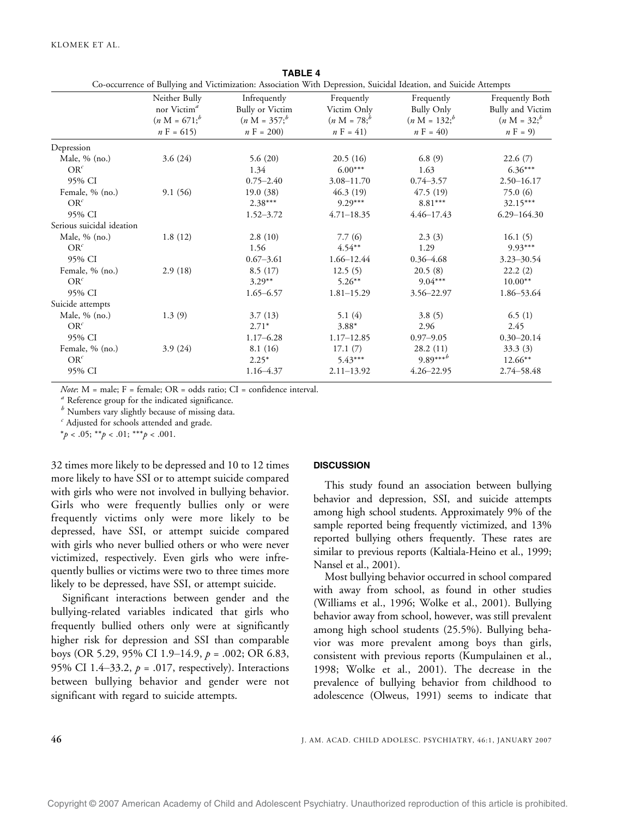|                                     | Co-occurrence of Bullying and Victimization: Association With Depression, Suicidal Ideation, and Suicide Attempts |                        |                   |                    |                   |
|-------------------------------------|-------------------------------------------------------------------------------------------------------------------|------------------------|-------------------|--------------------|-------------------|
|                                     | Neither Bully                                                                                                     | Infrequently           | Frequently        | Frequently         | Frequently Both   |
|                                     | nor Victim <sup>a</sup>                                                                                           | <b>Bully or Victim</b> | Victim Only       | <b>Bully Only</b>  | Bully and Victim  |
|                                     | $(n M = 671; ^{b}$                                                                                                | $(n M = 357; ^{b}$     | $(n M = 78; ^{b}$ | $(n M = 132; ^{b}$ | $(n M = 32; ^{b}$ |
|                                     | $n F = 615$                                                                                                       | $n F = 200$            | $n F = 41$        | $n F = 40$         | $n F = 9$         |
| Depression                          |                                                                                                                   |                        |                   |                    |                   |
| Male, $\%$ (no.)                    | 3.6(24)                                                                                                           | 5.6(20)                | 20.5(16)          | 6.8(9)             | 22.6(7)           |
| $OR^c$                              |                                                                                                                   | 1.34                   | $6.00***$         | 1.63               | $6.36***$         |
| 95% CI                              |                                                                                                                   | $0.75 - 2.40$          | $3.08 - 11.70$    | $0.74 - 3.57$      | $2.50 - 16.17$    |
| Female, % (no.)                     | 9.1(56)                                                                                                           | 19.0(38)               | 46.3(19)          | 47.5(19)           | 75.0(6)           |
| $OR^c$                              |                                                                                                                   | $2.38***$              | $9.29***$         | $8.81***$          | $32.15***$        |
| 95% CI<br>Serious suicidal ideation |                                                                                                                   | $1.52 - 3.72$          | $4.71 - 18.35$    | $4.46 - 17.43$     | $6.29 - 164.30$   |
| Male, $\%$ (no.)                    | 1.8(12)                                                                                                           | 2.8(10)                | 7.7(6)            | 2.3(3)             | 16.1(5)           |
| $OR^c$                              |                                                                                                                   | 1.56                   | $4.54***$         | 1.29               | $9.93***$         |
| 95% CI                              | 2.9(18)                                                                                                           | $0.67 - 3.61$          | $1.66 - 12.44$    | $0.36 - 4.68$      | 3.23-30.54        |
| Female, % (no.)                     |                                                                                                                   | 8.5(17)                | 12.5(5)           | 20.5(8)            | 22.2(2)           |
| $OR^c$                              |                                                                                                                   | $3.29***$              | $5.26***$         | $9.04***$          | $10.00**$         |
| 95% CI<br>Suicide attempts          |                                                                                                                   | $1.65 - 6.57$          | $1.81 - 15.29$    | 3.56-22.97         | 1.86–53.64        |
| Male, % (no.)                       | 1.3(9)                                                                                                            | 3.7(13)                | 5.1 $(4)$         | 3.8(5)             | 6.5(1)            |
| OR <sup>c</sup>                     |                                                                                                                   | $2.71*$                | $3.88*$           | 2.96               | 2.45              |
| 95% CI                              |                                                                                                                   | $1.17 - 6.28$          | $1.17 - 12.85$    | $0.97 - 9.05$      | $0.30 - 20.14$    |
| Female, % (no.)                     | 3.9(24)                                                                                                           | 8.1(16)                | 17.1(7)           | 28.2(11)           | 33.3(3)           |
| $OR^c$                              |                                                                                                                   | $2.25*$                | $5.43***$         | $9.89***^{b}$      | $12.66**$         |
| 95% CI                              |                                                                                                                   | $1.16 - 4.37$          | $2.11 - 13.92$    | $4.26 - 22.95$     | 2.74-58.48        |

TABLE 4

*Note*: M = male; F = female; OR = odds ratio; CI = confidence interval. <br>
<sup>*a*</sup> Reference group for the indicated significance.

 $\overrightarrow{b}$  Numbers vary slightly because of missing data.

 $c$  Adjusted for schools attended and grade.

\* $p < .05$ ; \*\* $p < .01$ ; \*\*\* $p < .001$ .

32 times more likely to be depressed and 10 to 12 times more likely to have SSI or to attempt suicide compared with girls who were not involved in bullying behavior. Girls who were frequently bullies only or were frequently victims only were more likely to be depressed, have SSI, or attempt suicide compared with girls who never bullied others or who were never victimized, respectively. Even girls who were infrequently bullies or victims were two to three times more likely to be depressed, have SSI, or attempt suicide.

Significant interactions between gender and the bullying-related variables indicated that girls who frequently bullied others only were at significantly higher risk for depression and SSI than comparable boys (OR 5.29, 95% CI 1.9-14.9,  $p = .002$ ; OR 6.83, 95% CI 1.4-33.2,  $p = .017$ , respectively). Interactions between bullying behavior and gender were not significant with regard to suicide attempts.

# **DISCUSSION**

This study found an association between bullying behavior and depression, SSI, and suicide attempts among high school students. Approximately 9% of the sample reported being frequently victimized, and 13% reported bullying others frequently. These rates are similar to previous reports (Kaltiala-Heino et al., 1999; Nansel et al., 2001).

Most bullying behavior occurred in school compared with away from school, as found in other studies (Williams et al., 1996; Wolke et al., 2001). Bullying behavior away from school, however, was still prevalent among high school students (25.5%). Bullying behavior was more prevalent among boys than girls, consistent with previous reports (Kumpulainen et al., 1998; Wolke et al., 2001). The decrease in the prevalence of bullying behavior from childhood to adolescence (Olweus, 1991) seems to indicate that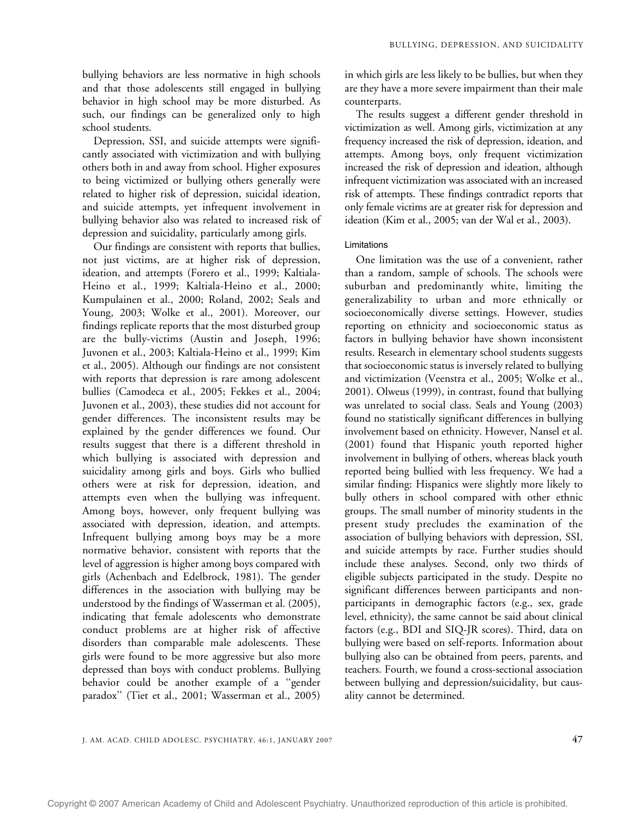bullying behaviors are less normative in high schools and that those adolescents still engaged in bullying behavior in high school may be more disturbed. As such, our findings can be generalized only to high school students.

Depression, SSI, and suicide attempts were significantly associated with victimization and with bullying others both in and away from school. Higher exposures to being victimized or bullying others generally were related to higher risk of depression, suicidal ideation, and suicide attempts, yet infrequent involvement in bullying behavior also was related to increased risk of depression and suicidality, particularly among girls.

Our findings are consistent with reports that bullies, not just victims, are at higher risk of depression, ideation, and attempts (Forero et al., 1999; Kaltiala-Heino et al., 1999; Kaltiala-Heino et al., 2000; Kumpulainen et al., 2000; Roland, 2002; Seals and Young, 2003; Wolke et al., 2001). Moreover, our findings replicate reports that the most disturbed group are the bully-victims (Austin and Joseph, 1996; Juvonen et al., 2003; Kaltiala-Heino et al., 1999; Kim et al., 2005). Although our findings are not consistent with reports that depression is rare among adolescent bullies (Camodeca et al., 2005; Fekkes et al., 2004; Juvonen et al., 2003), these studies did not account for gender differences. The inconsistent results may be explained by the gender differences we found. Our results suggest that there is a different threshold in which bullying is associated with depression and suicidality among girls and boys. Girls who bullied others were at risk for depression, ideation, and attempts even when the bullying was infrequent. Among boys, however, only frequent bullying was associated with depression, ideation, and attempts. Infrequent bullying among boys may be a more normative behavior, consistent with reports that the level of aggression is higher among boys compared with girls (Achenbach and Edelbrock, 1981). The gender differences in the association with bullying may be understood by the findings of Wasserman et al. (2005), indicating that female adolescents who demonstrate conduct problems are at higher risk of affective disorders than comparable male adolescents. These girls were found to be more aggressive but also more depressed than boys with conduct problems. Bullying behavior could be another example of a ''gender paradox'' (Tiet et al., 2001; Wasserman et al., 2005) in which girls are less likely to be bullies, but when they are they have a more severe impairment than their male counterparts.

The results suggest a different gender threshold in victimization as well. Among girls, victimization at any frequency increased the risk of depression, ideation, and attempts. Among boys, only frequent victimization increased the risk of depression and ideation, although infrequent victimization was associated with an increased risk of attempts. These findings contradict reports that only female victims are at greater risk for depression and ideation (Kim et al., 2005; van der Wal et al., 2003).

# Limitations

One limitation was the use of a convenient, rather than a random, sample of schools. The schools were suburban and predominantly white, limiting the generalizability to urban and more ethnically or socioeconomically diverse settings. However, studies reporting on ethnicity and socioeconomic status as factors in bullying behavior have shown inconsistent results. Research in elementary school students suggests that socioeconomic status is inversely related to bullying and victimization (Veenstra et al., 2005; Wolke et al., 2001). Olweus (1999), in contrast, found that bullying was unrelated to social class. Seals and Young (2003) found no statistically significant differences in bullying involvement based on ethnicity. However, Nansel et al. (2001) found that Hispanic youth reported higher involvement in bullying of others, whereas black youth reported being bullied with less frequency. We had a similar finding: Hispanics were slightly more likely to bully others in school compared with other ethnic groups. The small number of minority students in the present study precludes the examination of the association of bullying behaviors with depression, SSI, and suicide attempts by race. Further studies should include these analyses. Second, only two thirds of eligible subjects participated in the study. Despite no significant differences between participants and nonparticipants in demographic factors (e.g., sex, grade level, ethnicity), the same cannot be said about clinical factors (e.g., BDI and SIQ-JR scores). Third, data on bullying were based on self-reports. Information about bullying also can be obtained from peers, parents, and teachers. Fourth, we found a cross-sectional association between bullying and depression/suicidality, but causality cannot be determined.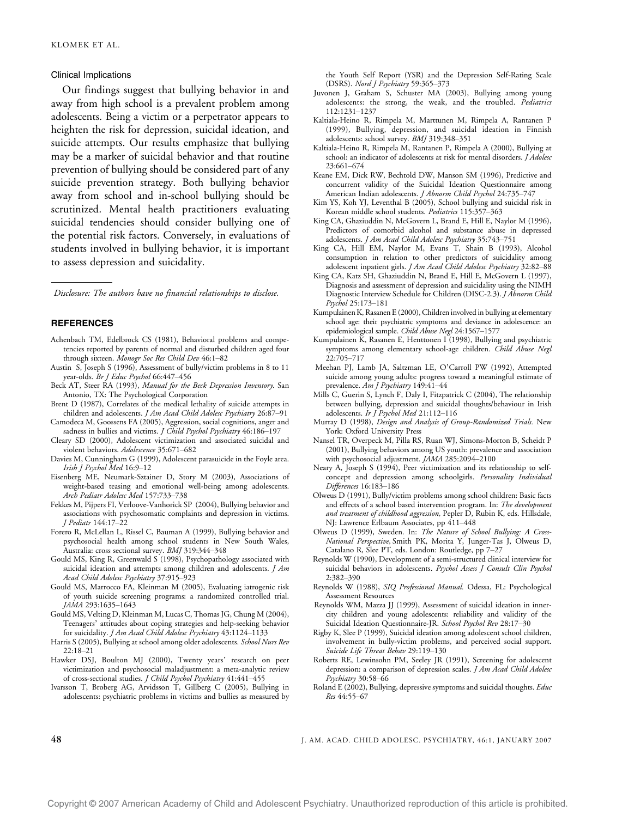# Clinical Implications

Our findings suggest that bullying behavior in and away from high school is a prevalent problem among adolescents. Being a victim or a perpetrator appears to heighten the risk for depression, suicidal ideation, and suicide attempts. Our results emphasize that bullying may be a marker of suicidal behavior and that routine prevention of bullying should be considered part of any suicide prevention strategy. Both bullying behavior away from school and in-school bullying should be scrutinized. Mental health practitioners evaluating suicidal tendencies should consider bullying one of the potential risk factors. Conversely, in evaluations of students involved in bullying behavior, it is important to assess depression and suicidality.

Disclosure: The authors have no financial relationships to disclose.

# REFERENCES

- Achenbach TM, Edelbrock CS (1981), Behavioral problems and competencies reported by parents of normal and disturbed children aged four through sixteen. Monogr Soc Res Child Dev 46:1-82
- Austin S, Joseph S (1996), Assessment of bully/victim problems in 8 to 11 year-olds. Br J Educ Psychol 66:447-456
- Beck AT, Steer RA (1993), Manual for the Beck Depression Inventory. San Antonio, TX: The Psychological Corporation
- Brent D (1987), Correlates of the medical lethality of suicide attempts in children and adolescents. J Am Acad Child Adolesc Psychiatry 26:87-91
- Camodeca M, Goossens FA (2005), Aggression, social cognitions, anger and sadness in bullies and victims. J Child Psychol Psychiatry 46:186-197
- Cleary SD (2000), Adolescent victimization and associated suicidal and violent behaviors. Adolescence 35:671-682
- Davies M, Cunningham G (1999), Adolescent parasuicide in the Foyle area. Irish J Psychol Med 16:9-12
- Eisenberg ME, Neumark-Sztainer D, Story M (2003), Associations of weight-based teasing and emotional well-being among adolescents. Arch Pediatr Adolesc Med 157:733-738
- Fekkes M, Pijpers FI, Verloove-Vanhorick SP (2004), Bullying behavior and associations with psychosomatic complaints and depression in victims. J Pediatr 144:17-22
- Forero R, McLellan L, Rissel C, Bauman A (1999), Bullying behavior and psychosocial health among school students in New South Wales, Australia: cross sectional survey. BMJ 319:344-348
- Gould MS, King R, Greenwald S (1998), Psychopathology associated with suicidal ideation and attempts among children and adolescents. *J Am* Acad Child Adolesc Psychiatry 37:915–923
- Gould MS, Marrocco FA, Kleinman M (2005), Evaluating iatrogenic risk of youth suicide screening programs: a randomized controlled trial. JAMA 293:1635-1643
- Gould MS, Velting D, Kleinman M, Lucas C, Thomas JG, Chung M (2004), Teenagers` attitudes about coping strategies and help-seeking behavior for suicidality. J Am Acad Child Adolesc Psychiatry 43:1124-1133
- Harris S (2005), Bullying at school among older adolescents. School Nurs Rev 22:18-21
- Hawker DSJ, Boulton MJ (2000), Twenty years` research on peer victimization and psychosocial maladjustment: a meta-analytic review of cross-sectional studies. *J Child Psychol Psychiatry* 41:441-455
- Ivarsson T, Broberg AG, Arvidsson T, Gillberg C (2005), Bullying in adolescents: psychiatric problems in victims and bullies as measured by

the Youth Self Report (YSR) and the Depression Self-Rating Scale (DSRS). Nord J Psychiatry 59:365-373

- Juvonen J, Graham S, Schuster MA (2003), Bullying among young adolescents: the strong, the weak, and the troubled. Pediatrics 112:1231-1237
- Kaltiala-Heino R, Rimpela M, Marttunen M, Rimpela A, Rantanen P (1999), Bullying, depression, and suicidal ideation in Finnish adolescents: school survey. BMJ 319:348-351
- Kaltiala-Heino R, Rimpela M, Rantanen P, Rimpela A (2000), Bullying at school: an indicator of adolescents at risk for mental disorders. *J Adolesc* 23:661-674
- Keane EM, Dick RW, Bechtold DW, Manson SM (1996), Predictive and concurrent validity of the Suicidal Ideation Questionnaire among American Indian adolescents. J Abnorm Child Psychol 24:735-747
- Kim YS, Koh YJ, Leventhal B (2005), School bullying and suicidal risk in Korean middle school students. Pediatrics 115:357-363
- King CA, Ghaziuddin N, McGovern L, Brand E, Hill E, Naylor M (1996), Predictors of comorbid alcohol and substance abuse in depressed adolescents. J Am Acad Child Adolesc Psychiatry 35:743-751
- King CA, Hill EM, Naylor M, Evans T, Shain B (1993), Alcohol consumption in relation to other predictors of suicidality among adolescent inpatient girls. J Am Acad Child Adolesc Psychiatry 32:82-88
- King CA, Katz SH, Ghaziuddin N, Brand E, Hill E, McGovern L (1997), Diagnosis and assessment of depression and suicidality using the NIMH Diagnostic Interview Schedule for Children (DISC-2.3). J Abnorm Child Psychol 25:173-181
- Kumpulainen K, Rasanen E (2000), Children involved in bullying at elementary school age: their psychiatric symptoms and deviance in adolescence: an epidemiological sample. Child Abuse Negl 24:1567-1577
- Kumpulainen K, Rasanen E, Henttonen I (1998), Bullying and psychiatric symptoms among elementary school-age children. Child Abuse Negl 22:705-717
- Meehan PJ, Lamb JA, Saltzman LE, O`Carroll PW (1992), Attempted suicide among young adults: progress toward a meaningful estimate of prevalence. Am J Psychiatry 149:41-44
- Mills C, Guerin S, Lynch F, Daly I, Fitzpatrick C (2004), The relationship between bullying, depression and suicidal thoughts/behaviour in Irish adolescents. Ir J Psychol Med 21:112-116
- Murray D (1998), Design and Analysis of Group-Randomized Trials. New York: Oxford University Press
- Nansel TR, Overpeck M, Pilla RS, Ruan WJ, Simons-Morton B, Scheidt P (2001), Bullying behaviors among US youth: prevalence and association with psychosocial adjustment. JAMA 285:2094-2100
- Neary A, Joseph S (1994), Peer victimization and its relationship to selfconcept and depression among schoolgirls. Personality Individual Differences 16:183-186
- Olweus D (1991), Bully/victim problems among school children: Basic facts and effects of a school based intervention program. In: The development and treatment of childhood aggression, Pepler D, Rubin K, eds. Hillsdale, NJ: Lawrence Erlbaum Associates, pp 411-448
- Olweus D (1999), Sweden. In: The Nature of School Bullying: A Cross-National Perspective, Smith PK, Morita Y, Junger-Tas J, Olweus D, Catalano R, Slee PT, eds. London: Routledge, pp 7-27
- Reynolds W (1990), Development of a semi-structured clinical interview for suicidal behaviors in adolescents. Psychol Assess J Consult Clin Psychol 2:382-390
- Reynolds W (1988), SIQ Professional Manual. Odessa, FL: Psychological Assessment Resources
- Reynolds WM, Mazza JJ (1999), Assessment of suicidal ideation in innercity children and young adolescents: reliability and validity of the Suicidal Ideation Questionnaire-JR. School Psychol Rev 28:17-30
- Rigby K, Slee P (1999), Suicidal ideation among adolescent school children, involvement in bully-victim problems, and perceived social support. Suicide Life Threat Behav 29:119-130
- Roberts RE, Lewinsohn PM, Seeley JR (1991), Screening for adolescent depression: a comparison of depression scales. J Am Acad Child Adolesc Psychiatry 30:58-66
- Roland E (2002), Bullying, depressive symptoms and suicidal thoughts. Educ Res 44:55-67